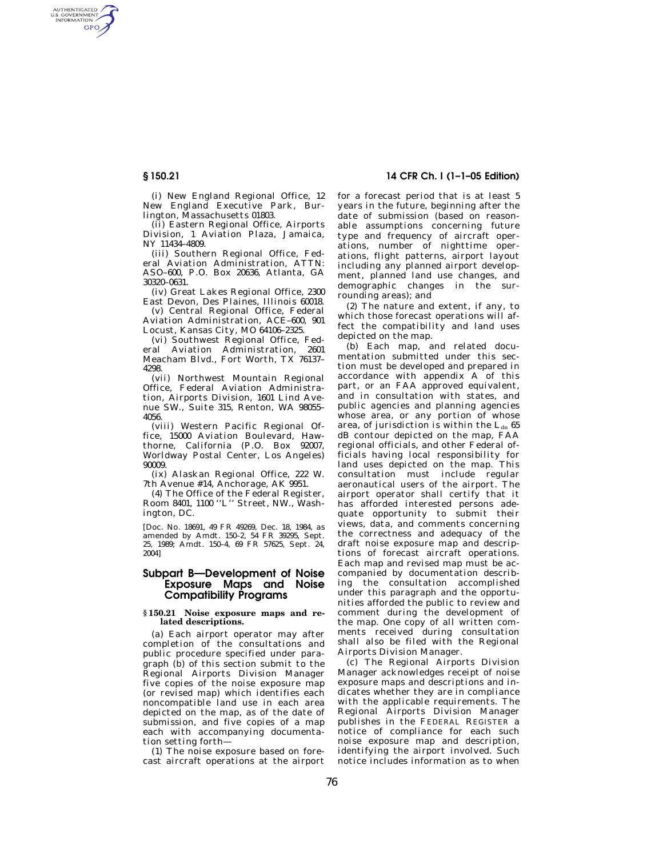AUTHENTICATED<br>U.S. GOVERNMENT<br>INFORMATION **GPO** 

> (i) New England Regional Office, 12 New England Executive Park, Burlington, Massachusetts 01803.

(ii) Eastern Regional Office, Airports Division, 1 Aviation Plaza, Jamaica, NY 11434–4809.

(iii) Southern Regional Office, Federal Aviation Administration, ATTN: ASO–600, P.O. Box 20636, Atlanta, GA 30320–0631.

(iv) Great Lakes Regional Office, 2300 East Devon, Des Plaines, Illinois 60018.

(v) Central Regional Office, Federal Aviation Administration, ACE–600, 901 Locust, Kansas City, MO 64106–2325.

(vi) Southwest Regional Office, Federal Aviation Administration, 2601 Meacham Blvd., Fort Worth, TX 76137– 4298.

(vii) Northwest Mountain Regional Office, Federal Aviation Administration, Airports Division, 1601 Lind Avenue SW., Suite 315, Renton, WA 98055– 4056.

(viii) Western Pacific Regional Office, 15000 Aviation Boulevard, Hawthorne, California (P.O. Box 92007, Worldway Postal Center, Los Angeles) 90009.

(ix) Alaskan Regional Office, 222 W. 7th Avenue #14, Anchorage, AK 9951.

(4) The Office of the Federal Register, Room 8401, 1100 ''L'' Street, NW., Washington, DC.

[Doc. No. 18691, 49 FR 49269, Dec. 18, 1984, as amended by Amdt. 150–2, 54 FR 39295, Sept. 25, 1989; Amdt. 150–4, 69 FR 57625, Sept. 24, 2004]

## **Subpart B—Development of Noise Exposure Maps and Noise Compatibility Programs**

#### **§ 150.21 Noise exposure maps and related descriptions.**

(a) Each airport operator may after completion of the consultations and public procedure specified under paragraph (b) of this section submit to the Regional Airports Division Manager five copies of the noise exposure map (or revised map) which identifies each noncompatible land use in each area depicted on the map, as of the date of submission, and five copies of a map each with accompanying documentation setting forth—

(1) The noise exposure based on forecast aircraft operations at the airport

# **§ 150.21 14 CFR Ch. I (1–1–05 Edition)**

for a forecast period that is at least 5 years in the future, beginning after the date of submission (based on reasonable assumptions concerning future type and frequency of aircraft operations, number of nighttime operations, flight patterns, airport layout including any planned airport development, planned land use changes, and demographic changes in the surrounding areas); and

(2) The nature and extent, if any, to which those forecast operations will affect the compatibility and land uses depicted on the map.

(b) Each map, and related documentation submitted under this section must be developed and prepared in accordance with appendix A of this part, or an FAA approved equivalent, and in consultation with states, and public agencies and planning agencies whose area, or any portion of whose area, of jurisdiction is within the  $L_{dn}$  65 dB contour depicted on the map, FAA regional officials, and other Federal officials having local responsibility for land uses depicted on the map. This consultation must include regular aeronautical users of the airport. The airport operator shall certify that it has afforded interested persons adequate opportunity to submit their views, data, and comments concerning the correctness and adequacy of the draft noise exposure map and descriptions of forecast aircraft operations. Each map and revised map must be accompanied by documentation describing the consultation accomplished under this paragraph and the opportunities afforded the public to review and comment during the development of the map. One copy of all written comments received during consultation shall also be filed with the Regional Airports Division Manager.

(c) The Regional Airports Division Manager acknowledges receipt of noise exposure maps and descriptions and indicates whether they are in compliance with the applicable requirements. The Regional Airports Division Manager publishes in the FEDERAL REGISTER a notice of compliance for each such noise exposure map and description, identifying the airport involved. Such notice includes information as to when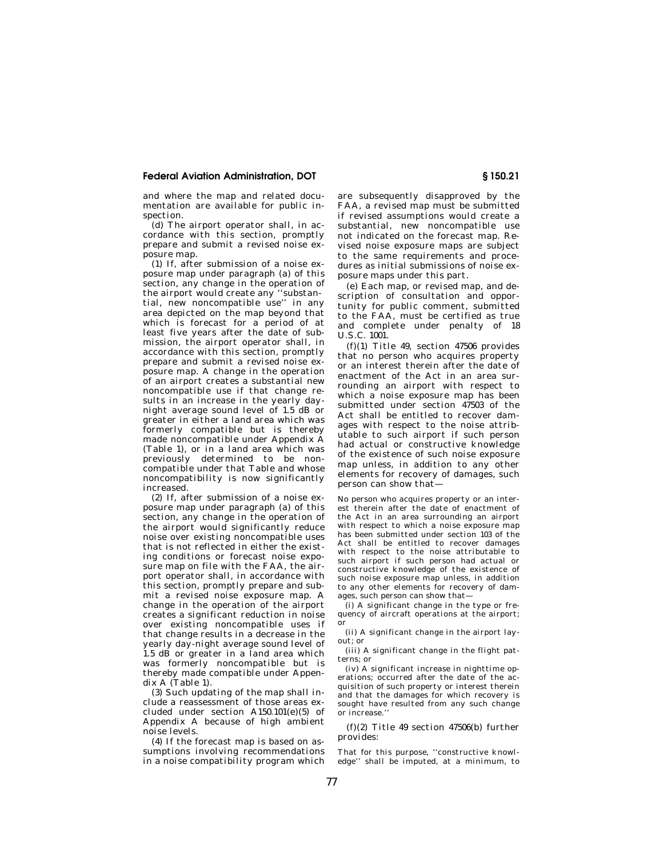## **Federal Aviation Administration, DOT § 150.21**

and where the map and related documentation are available for public inspection.

(d) The airport operator shall, in accordance with this section, promptly prepare and submit a revised noise exposure map.

(1) If, after submission of a noise exposure map under paragraph (a) of this section, any change in the operation of the airport would create any ''substantial, new noncompatible use'' in any area depicted on the map beyond that which is forecast for a period of at least five years after the date of submission, the airport operator shall, in accordance with this section, promptly prepare and submit a revised noise exposure map. A change in the operation of an airport creates a substantial new noncompatible use if that change results in an increase in the yearly daynight average sound level of 1.5 dB or greater in either a land area which was formerly compatible but is thereby made noncompatible under Appendix A (Table 1), or in a land area which was previously determined to be noncompatible under that Table and whose noncompatibility is now significantly increased.

(2) If after submission of a noise  $ex$ posure map under paragraph (a) of this section, any change in the operation of the airport would significantly reduce noise over existing noncompatible uses that is not reflected in either the existing conditions or forecast noise exposure map on file with the FAA, the airport operator shall, in accordance with this section, promptly prepare and submit a revised noise exposure map. A change in the operation of the airport creates a significant reduction in noise over existing noncompatible uses if that change results in a decrease in the yearly day-night average sound level of  $1.5$  dB or greater in a land area which was formerly noncompatible but is thereby made compatible under Appendix A (Table 1).

(3) Such updating of the map shall include a reassessment of those areas excluded under section A150.101(e)(5) of Appendix A because of high ambient noise levels.

(4) If the forecast map is based on assumptions involving recommendations in a noise compatibility program which are subsequently disapproved by the FAA, a revised map must be submitted if revised assumptions would create a substantial, new noncompatible use not indicated on the forecast map. Revised noise exposure maps are subject to the same requirements and procedures as initial submissions of noise exposure maps under this part.

(e) Each map, or revised map, and description of consultation and opportunity for public comment, submitted to the FAA, must be certified as true and complete under penalty of 18 U.S.C. 1001.

(f)(1) Title 49, section 47506 provides that no person who acquires property or an interest therein after the date of enactment of the Act in an area surrounding an airport with respect to which a noise exposure map has been submitted under section 47503 of the Act shall be entitled to recover damages with respect to the noise attributable to such airport if such person had actual or constructive knowledge of the existence of such noise exposure map unless, in addition to any other elements for recovery of damages, such person can show that—

No person who acquires property or an interest therein after the date of enactment of the Act in an area surrounding an airport with respect to which a noise exposure map has been submitted under section 103 of the Act shall be entitled to recover damages with respect to the noise attributable to such airport if such person had actual or constructive knowledge of the existence of such noise exposure map unless, in addition to any other elements for recovery of damages, such person can show that—

(i) A significant change in the type or frequency of aircraft operations at the airport; or

(ii) A significant change in the airport layout; or

(iii) A significant change in the flight patterns; or

(iv) A significant increase in nighttime operations; occurred after the date of the acquisition of such property or interest therein and that the damages for which recovery is sought have resulted from any such change or increase.

(f)(2) Title 49 section 47506(b) further provides:

That for this purpose, ''constructive knowledge'' shall be imputed, at a minimum, to